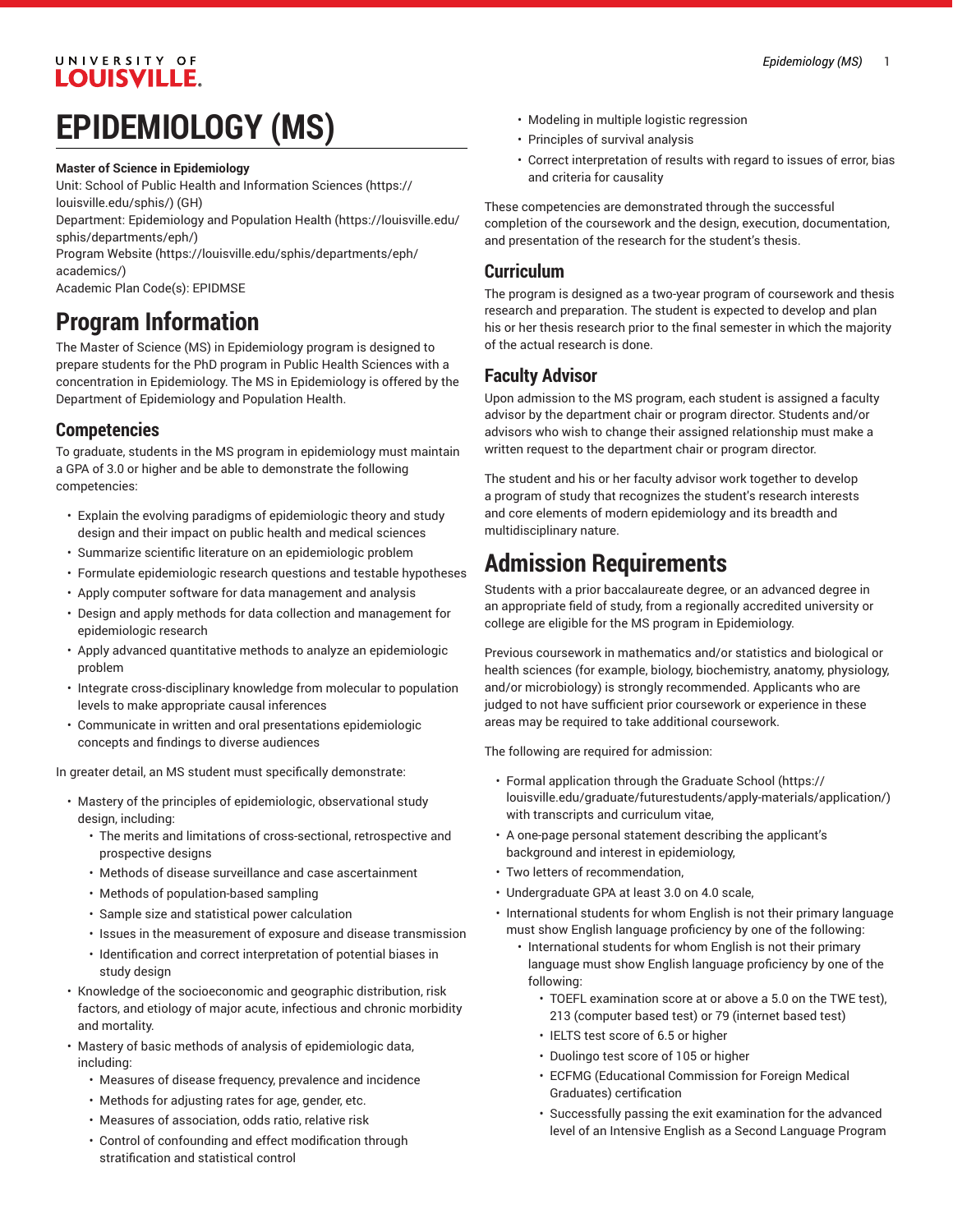### UNIVERSITY OF **LOUISVILLE.**

# **EPIDEMIOLOGY (MS)**

#### **Master of Science in Epidemiology**

Unit: [School of Public Health and Information Sciences](https://louisville.edu/sphis/) ([https://](https://louisville.edu/sphis/) [louisville.edu/sphis/](https://louisville.edu/sphis/)) (GH)

Department: [Epidemiology](https://louisville.edu/sphis/departments/eph/) and Population Health ([https://louisville.edu/](https://louisville.edu/sphis/departments/eph/) [sphis/departments/eph/\)](https://louisville.edu/sphis/departments/eph/)

[Program](https://louisville.edu/sphis/departments/eph/academics/) Website [\(https://louisville.edu/sphis/departments/eph/](https://louisville.edu/sphis/departments/eph/academics/) [academics/\)](https://louisville.edu/sphis/departments/eph/academics/)

Academic Plan Code(s): EPIDMSE

# **Program Information**

The Master of Science (MS) in Epidemiology program is designed to prepare students for the PhD program in Public Health Sciences with a concentration in Epidemiology. The MS in Epidemiology is offered by the Department of Epidemiology and Population Health.

### **Competencies**

To graduate, students in the MS program in epidemiology must maintain a GPA of 3.0 or higher and be able to demonstrate the following competencies:

- Explain the evolving paradigms of epidemiologic theory and study design and their impact on public health and medical sciences
- Summarize scientific literature on an epidemiologic problem
- Formulate epidemiologic research questions and testable hypotheses
- Apply computer software for data management and analysis
- Design and apply methods for data collection and management for epidemiologic research
- Apply advanced quantitative methods to analyze an epidemiologic problem
- Integrate cross-disciplinary knowledge from molecular to population levels to make appropriate causal inferences
- Communicate in written and oral presentations epidemiologic concepts and findings to diverse audiences

In greater detail, an MS student must specifically demonstrate:

- Mastery of the principles of epidemiologic, observational study design, including:
	- The merits and limitations of cross-sectional, retrospective and prospective designs
	- Methods of disease surveillance and case ascertainment
	- Methods of population-based sampling
	- Sample size and statistical power calculation
	- Issues in the measurement of exposure and disease transmission
	- Identification and correct interpretation of potential biases in study design
- Knowledge of the socioeconomic and geographic distribution, risk factors, and etiology of major acute, infectious and chronic morbidity and mortality.
- Mastery of basic methods of analysis of epidemiologic data, including:
	- Measures of disease frequency, prevalence and incidence
	- Methods for adjusting rates for age, gender, etc.
	- Measures of association, odds ratio, relative risk
	- Control of confounding and effect modification through stratification and statistical control
- Modeling in multiple logistic regression
- Principles of survival analysis
- Correct interpretation of results with regard to issues of error, bias and criteria for causality

These competencies are demonstrated through the successful completion of the coursework and the design, execution, documentation, and presentation of the research for the student's thesis.

### **Curriculum**

The program is designed as a two-year program of coursework and thesis research and preparation. The student is expected to develop and plan his or her thesis research prior to the final semester in which the majority of the actual research is done.

### **Faculty Advisor**

Upon admission to the MS program, each student is assigned a faculty advisor by the department chair or program director. Students and/or advisors who wish to change their assigned relationship must make a written request to the department chair or program director.

The student and his or her faculty advisor work together to develop a program of study that recognizes the student's research interests and core elements of modern epidemiology and its breadth and multidisciplinary nature.

# **Admission Requirements**

Students with a prior baccalaureate degree, or an advanced degree in an appropriate field of study, from a regionally accredited university or college are eligible for the MS program in Epidemiology.

Previous coursework in mathematics and/or statistics and biological or health sciences (for example, biology, biochemistry, anatomy, physiology, and/or microbiology) is strongly recommended. Applicants who are judged to not have sufficient prior coursework or experience in these areas may be required to take additional coursework.

The following are required for admission:

- Formal application through the [Graduate School](https://louisville.edu/graduate/futurestudents/apply-materials/application/) ([https://](https://louisville.edu/graduate/futurestudents/apply-materials/application/) [louisville.edu/graduate/futurestudents/apply-materials/application/\)](https://louisville.edu/graduate/futurestudents/apply-materials/application/) with transcripts and curriculum vitae,
- A one-page personal statement describing the applicant's background and interest in epidemiology,
- Two letters of recommendation,
- Undergraduate GPA at least 3.0 on 4.0 scale,
- International students for whom English is not their primary language must show English language proficiency by one of the following:
	- International students for whom English is not their primary language must show English language proficiency by one of the following:
		- TOEFL examination score at or above a 5.0 on the TWE test), 213 (computer based test) or 79 (internet based test)
		- IELTS test score of 6.5 or higher
		- Duolingo test score of 105 or higher
		- ECFMG (Educational Commission for Foreign Medical Graduates) certification
		- Successfully passing the exit examination for the advanced level of an Intensive English as a Second Language Program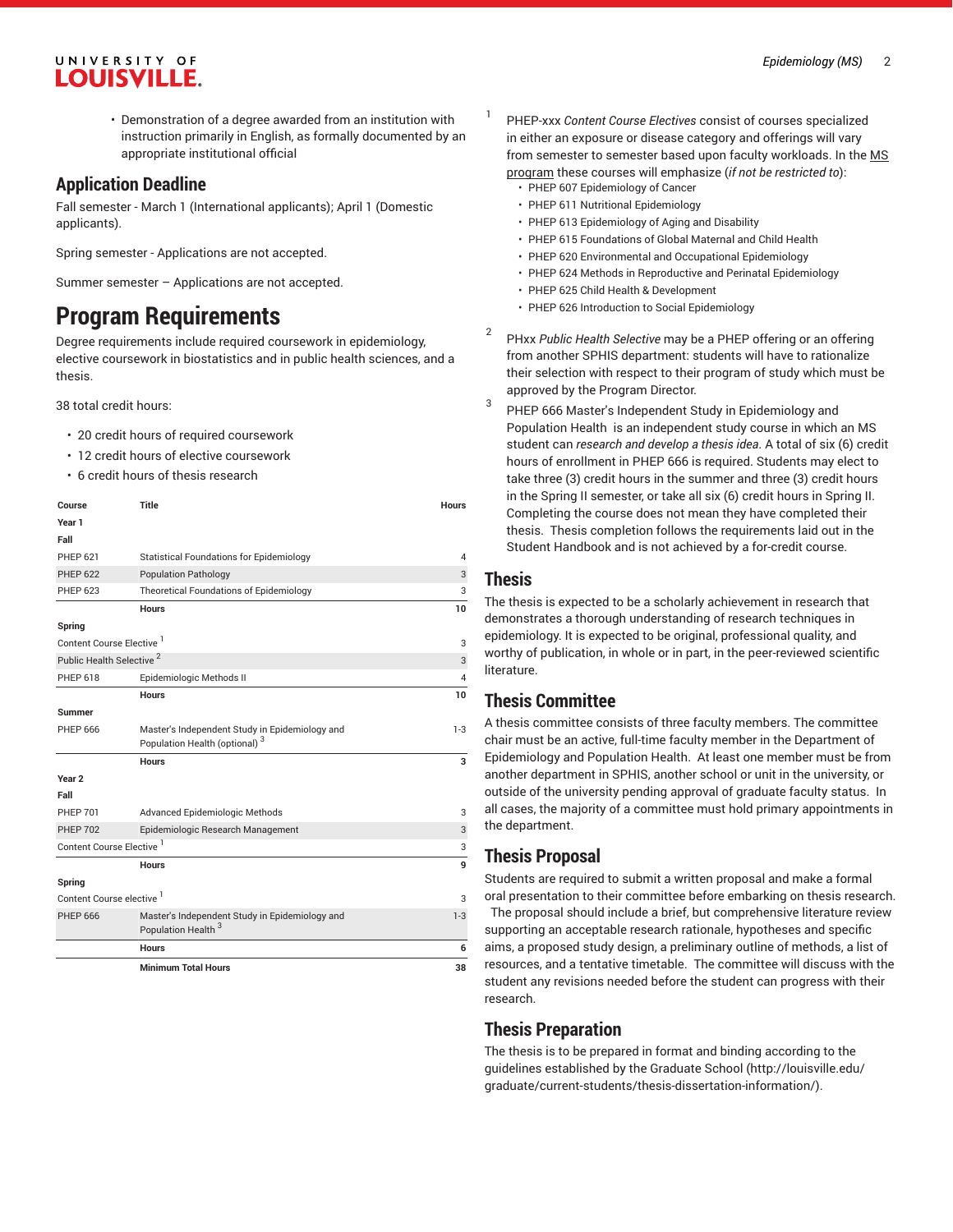### UNIVERSITY OF LOUISVILLE.

• Demonstration of a degree awarded from an institution with instruction primarily in English, as formally documented by an appropriate institutional official

#### **Application Deadline**

Fall semester - March 1 (International applicants); April 1 (Domestic applicants).

Spring semester - Applications are not accepted.

Summer semester – Applications are not accepted.

## **Program Requirements**

Degree requirements include required coursework in epidemiology, elective coursework in biostatistics and in public health sciences, and a thesis.

38 total credit hours:

- 20 credit hours of required coursework
- 12 credit hours of elective coursework
- 6 credit hours of thesis research

| Course                               | <b>Title</b>                                                                                | <b>Hours</b> |
|--------------------------------------|---------------------------------------------------------------------------------------------|--------------|
| Year 1                               |                                                                                             |              |
| Fall                                 |                                                                                             |              |
| <b>PHEP 621</b>                      | <b>Statistical Foundations for Epidemiology</b>                                             | 4            |
| <b>PHEP 622</b>                      | <b>Population Pathology</b>                                                                 | 3            |
| <b>PHEP 623</b>                      | <b>Theoretical Foundations of Epidemiology</b>                                              | 3            |
|                                      | <b>Hours</b>                                                                                | 10           |
| Spring                               |                                                                                             |              |
| Content Course Elective <sup>1</sup> |                                                                                             | 3            |
| Public Health Selective <sup>2</sup> |                                                                                             | 3            |
| PHEP 618                             | Epidemiologic Methods II                                                                    | 4            |
|                                      | <b>Hours</b>                                                                                | 10           |
| <b>Summer</b>                        |                                                                                             |              |
| <b>PHEP 666</b>                      | Master's Independent Study in Epidemiology and<br>Population Health (optional) <sup>3</sup> | $1-3$        |
|                                      | <b>Hours</b>                                                                                | 3            |
| Year <sub>2</sub>                    |                                                                                             |              |
| Fall                                 |                                                                                             |              |
| <b>PHEP 701</b>                      | Advanced Epidemiologic Methods                                                              | 3            |
| <b>PHEP 702</b>                      | Epidemiologic Research Management                                                           | 3            |
| Content Course Elective <sup>1</sup> |                                                                                             | 3            |
|                                      | <b>Hours</b>                                                                                | 9            |
| Spring                               |                                                                                             |              |
| Content Course elective <sup>1</sup> |                                                                                             | 3            |
| <b>PHEP 666</b>                      | Master's Independent Study in Epidemiology and<br>Population Health <sup>3</sup>            | $1 - 3$      |
|                                      | <b>Hours</b>                                                                                | 6            |
|                                      | <b>Minimum Total Hours</b>                                                                  | 38           |

- 1 PHEP-xxx *Content Course Electives* consist of courses specialized in either an exposure or disease category and offerings will vary from semester to semester based upon faculty workloads. In the MS program these courses will emphasize (*if not be restricted to*):
	- PHEP 607 Epidemiology of Cancer
	- PHEP 611 Nutritional Epidemiology
	- PHEP 613 Epidemiology of Aging and Disability
	- PHEP 615 Foundations of Global Maternal and Child Health
	- PHEP 620 Environmental and Occupational Epidemiology
	- PHEP 624 Methods in Reproductive and Perinatal Epidemiology
	- PHEP 625 Child Health & Development
	- PHEP 626 Introduction to Social Epidemiology
- 2 PHxx *Public Health Selective* may be a PHEP offering or an offering from another SPHIS department: students will have to rationalize their selection with respect to their program of study which must be approved by the Program Director.
- 3 PHEP 666 Master's Independent Study in Epidemiology and Population Health is an independent study course in which an MS student can *research and develop a thesis idea*. A total of six (6) credit hours of enrollment in PHEP 666 is required. Students may elect to take three (3) credit hours in the summer and three (3) credit hours in the Spring II semester, or take all six (6) credit hours in Spring II. Completing the course does not mean they have completed their thesis. Thesis completion follows the requirements laid out in the Student Handbook and is not achieved by a for-credit course.

### **Thesis**

The thesis is expected to be a scholarly achievement in research that demonstrates a thorough understanding of research techniques in epidemiology. It is expected to be original, professional quality, and worthy of publication, in whole or in part, in the peer-reviewed scientific literature.

### **Thesis Committee**

A thesis committee consists of three faculty members. The committee chair must be an active, full-time faculty member in the Department of Epidemiology and Population Health. At least one member must be from another department in SPHIS, another school or unit in the university, or outside of the university pending approval of graduate faculty status. In all cases, the majority of a committee must hold primary appointments in the department.

### **Thesis Proposal**

Students are required to submit a written proposal and make a formal oral presentation to their committee before embarking on thesis research. The proposal should include a brief, but comprehensive literature review supporting an acceptable research rationale, hypotheses and specific aims, a proposed study design, a preliminary outline of methods, a list of resources, and a tentative timetable. The committee will discuss with the student any revisions needed before the student can progress with their research.

### **Thesis Preparation**

The thesis is to be prepared in format and binding according to the guidelines [established](http://louisville.edu/graduate/current-students/thesis-dissertation-information/) by the Graduate School [\(http://louisville.edu/](http://louisville.edu/graduate/current-students/thesis-dissertation-information/) [graduate/current-students/thesis-dissertation-information/](http://louisville.edu/graduate/current-students/thesis-dissertation-information/)).